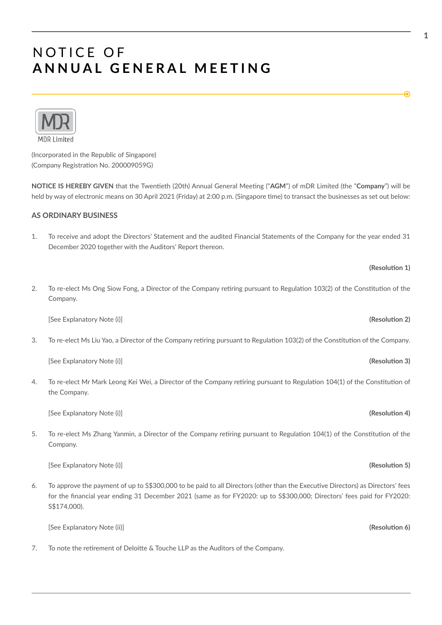

(Incorporated in the Republic of Singapore) (Company Registration No. 200009059G)

**NOTICE IS HEREBY GIVEN** that the Twenteth (20th) Annual General Meetng ("**AGM**") of mDR Limited (the "**Company**") will be held by way of electronic means on 30 April 2021 (Friday) at 2:00 p.m. (Singapore time) to transact the businesses as set out below:

### **AS ORDINARY BUSINESS**

1. To receive and adopt the Directors' Statement and the audited Financial Statements of the Company for the year ended 31 December 2020 together with the Auditors' Report thereon.

### **(Resoluton 1)**

2. To re-elect Ms Ong Siow Fong, a Director of the Company retring pursuant to Regulaton 103(2) of the Consttuton of the Company.

[See Explanatory Note (i)] **(Resoluton 2)**

3. To re-elect Ms Liu Yao, a Director of the Company retring pursuant to Regulaton 103(2) of the Consttuton of the Company.

[See Explanatory Note (i)] **(Resoluton 3)**

4. To re-elect Mr Mark Leong Kei Wei, a Director of the Company retring pursuant to Regulaton 104(1) of the Consttuton of the Company.

[See Explanatory Note (i)] **(Resoluton 4)**

5. To re-elect Ms Zhang Yanmin, a Director of the Company retiring pursuant to Regulation 104(1) of the Constitution of the Company.

[See Explanatory Note (i)] **(Resoluton 5)**

6. To approve the payment of up to S\$300,000 to be paid to all Directors (other than the Executve Directors) as Directors' fees for the fnancial year ending 31 December 2021 (same as for FY2020: up to S\$300,000; Directors' fees paid for FY2020: S\$174,000).

[See Explanatory Note (ii)] **(Resoluton 6)**

7. To note the retrement of Deloite & Touche LLP as the Auditors of the Company.

€

**1**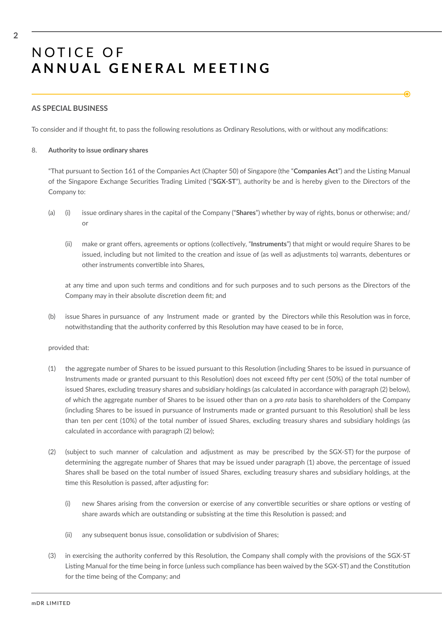### **AS SPECIAL BUSINESS**

To consider and if thought fit, to pass the following resolutions as Ordinary Resolutions, with or without any modifications:

#### 8. **Authority to issue ordinary shares**

"That pursuant to Secton 161 of the Companies Act (Chapter 50) of Singapore (the "**Companies Act**") and the Listng Manual of the Singapore Exchange Securites Trading Limited ("**SGX-ST**"), authority be and is hereby given to the Directors of the Company to:

€

- (a) (i) issue ordinary shares in the capital of the Company ("**Shares**") whether by way of rights, bonus or otherwise; and/ or
	- (ii) make or grant offers, agreements or options (collectively, "Instruments") that might or would require Shares to be issued, including but not limited to the creaton and issue of (as well as adjustments to) warrants, debentures or other instruments convertble into Shares,

at any time and upon such terms and conditions and for such purposes and to such persons as the Directors of the Company may in their absolute discretion deem fit; and

(b) issue Shares in pursuance of any Instrument made or granted by the Directors while this Resoluton was in force, notwithstanding that the authority conferred by this Resoluton may have ceased to be in force,

#### provided that:

- (1) the aggregate number of Shares to be issued pursuant to this Resoluton (including Shares to be issued in pursuance of Instruments made or granted pursuant to this Resolution) does not exceed fifty per cent (50%) of the total number of issued Shares, excluding treasury shares and subsidiary holdings (as calculated in accordance with paragraph (2) below), of which the aggregate number of Shares to be issued other than on a *pro rata* basis to shareholders of the Company (including Shares to be issued in pursuance of Instruments made or granted pursuant to this Resoluton) shall be less than ten per cent (10%) of the total number of issued Shares, excluding treasury shares and subsidiary holdings (as calculated in accordance with paragraph (2) below);
- (2) (subject to such manner of calculation and adjustment as may be prescribed by the SGX-ST) for the purpose of determining the aggregate number of Shares that may be issued under paragraph (1) above, the percentage of issued Shares shall be based on the total number of issued Shares, excluding treasury shares and subsidiary holdings, at the time this Resolution is passed, after adjusting for:
	- (i) new Shares arising from the conversion or exercise of any convertble securites or share optons or vestng of share awards which are outstanding or subsisting at the time this Resolution is passed; and
	- (ii) any subsequent bonus issue, consolidation or subdivision of Shares;
- (3) in exercising the authority conferred by this Resoluton, the Company shall comply with the provisions of the SGX-ST Listing Manual for the time being in force (unless such compliance has been waived by the SGX-ST) and the Constitution for the time being of the Company; and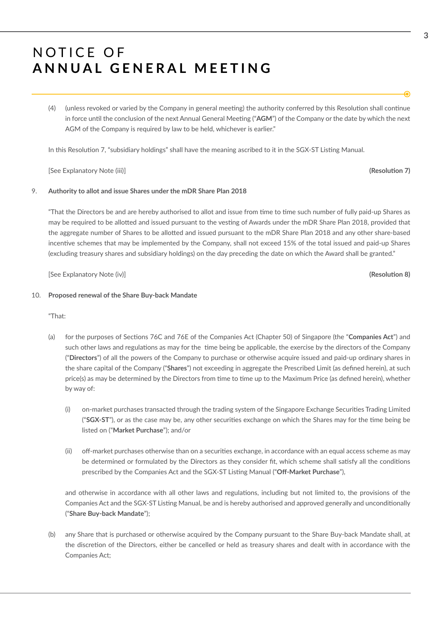(4) (unless revoked or varied by the Company in general meetng) the authority conferred by this Resoluton shall contnue in force until the conclusion of the next Annual General Meeting ("AGM") of the Company or the date by which the next AGM of the Company is required by law to be held, whichever is earlier."

In this Resolution 7, "subsidiary holdings" shall have the meaning ascribed to it in the SGX-ST Listing Manual.

[See Explanatory Note (iii)] **(Resoluton 7)**

#### 9. **Authority to allot and issue Shares under the mDR Share Plan 2018**

"That the Directors be and are hereby authorised to allot and issue from tme to tme such number of fully paid-up Shares as may be required to be allotted and issued pursuant to the vesting of Awards under the mDR Share Plan 2018, provided that the aggregate number of Shares to be allotted and issued pursuant to the mDR Share Plan 2018 and any other share-based incentive schemes that may be implemented by the Company, shall not exceed 15% of the total issued and paid-up Shares (excluding treasury shares and subsidiary holdings) on the day preceding the date on which the Award shall be granted."

[See Explanatory Note (iv)] **(Resoluton 8)**

#### 10. **Proposed renewal of the Share Buy-back Mandate**

"That:

- (a) for the purposes of Sectons 76C and 76E of the Companies Act (Chapter 50) of Singapore (the "**Companies Act**") and such other laws and regulations as may for the time being be applicable, the exercise by the directors of the Company ("**Directors**") of all the powers of the Company to purchase or otherwise acquire issued and paid-up ordinary shares in the share capital of the Company ("**Shares**") not exceeding in aggregate the Prescribed Limit (as defned herein), at such price(s) as may be determined by the Directors from time to time up to the Maximum Price (as defined herein), whether by way of:
	- (i) on-market purchases transacted through the trading system of the Singapore Exchange Securites Trading Limited ("**SGX-ST**"), or as the case may be, any other securites exchange on which the Shares may for the tme being be listed on ("**Market Purchase**"); and/or
	- (ii) off-market purchases otherwise than on a securities exchange, in accordance with an equal access scheme as may be determined or formulated by the Directors as they consider ft, which scheme shall satsfy all the conditons prescribed by the Companies Act and the SGX-ST Listng Manual ("**Of-Market Purchase**"),

and otherwise in accordance with all other laws and regulations, including but not limited to, the provisions of the Companies Act and the SGX-ST Listng Manual, be and is hereby authorised and approved generally and unconditonally ("**Share Buy-back Mandate**");

(b) any Share that is purchased or otherwise acquired by the Company pursuant to the Share Buy-back Mandate shall, at the discretion of the Directors, either be cancelled or held as treasury shares and dealt with in accordance with the Companies Act;

**3**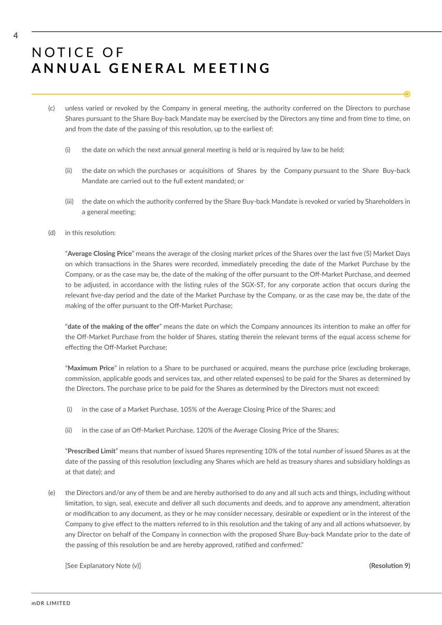- (c) unless varied or revoked by the Company in general meetng, the authority conferred on the Directors to purchase Shares pursuant to the Share Buy-back Mandate may be exercised by the Directors any time and from time to time, on and from the date of the passing of this resolution, up to the earliest of:
	- (i) the date on which the next annual general meeting is held or is required by law to be held;
	- (ii) the date on which the purchases or acquisitons of Shares by the Company pursuant to the Share Buy-back Mandate are carried out to the full extent mandated; or
	- (iii) the date on which the authority conferred by the Share Buy-back Mandate is revoked or varied by Shareholders in a general meeting;
- (d) in this resolution:

"**Average Closing Price**" means the average of the closing market prices of the Shares over the last fve (5) Market Days on which transactons in the Shares were recorded, immediately preceding the date of the Market Purchase by the Company, or as the case may be, the date of the making of the offer pursuant to the Off-Market Purchase, and deemed to be adjusted, in accordance with the listing rules of the SGX-ST, for any corporate action that occurs during the relevant fve-day period and the date of the Market Purchase by the Company, or as the case may be, the date of the making of the offer pursuant to the Off-Market Purchase;

"**date of the making of the ofer**" means the date on which the Company announces its intenton to make an ofer for the Off-Market Purchase from the holder of Shares, stating therein the relevant terms of the equal access scheme for effecting the Off-Market Purchase:

"**Maximum Price**" in relaton to a Share to be purchased or acquired, means the purchase price (excluding brokerage, commission, applicable goods and services tax, and other related expenses) to be paid for the Shares as determined by the Directors. The purchase price to be paid for the Shares as determined by the Directors must not exceed:

- (i) in the case of a Market Purchase, 105% of the Average Closing Price of the Shares; and
- (ii) in the case of an Off-Market Purchase, 120% of the Average Closing Price of the Shares;

"**Prescribed Limit**" means that number of issued Shares representng 10% of the total number of issued Shares as at the date of the passing of this resoluton (excluding any Shares which are held as treasury shares and subsidiary holdings as at that date); and

(e) the Directors and/or any of them be and are hereby authorised to do any and all such acts and things, including without limitation, to sign, seal, execute and deliver all such documents and deeds, and to approve any amendment, alteration or modification to any document, as they or he may consider necessary, desirable or expedient or in the interest of the Company to give effect to the matters referred to in this resolution and the taking of any and all actions whatsoever, by any Director on behalf of the Company in connection with the proposed Share Buy-back Mandate prior to the date of the passing of this resolution be and are hereby approved, ratified and confirmed."

[See Explanatory Note (v)] **(Resoluton 9)**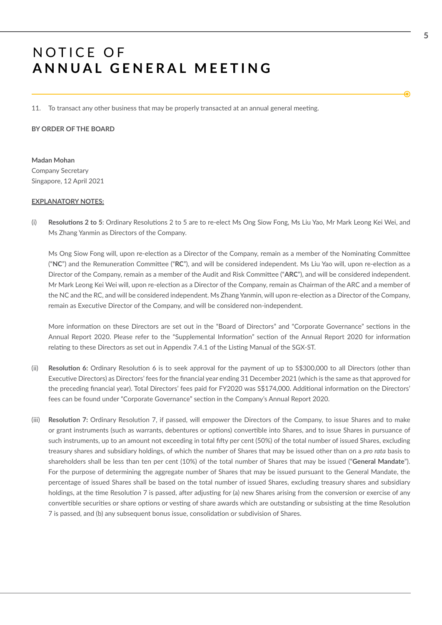11. To transact any other business that may be properly transacted at an annual general meetng.

**BY ORDER OF THE BOARD**

**Madan Mohan**  Company Secretary Singapore, 12 April 2021

#### **EXPLANATORY NOTES:**

(i) **Resolutons 2 to 5**: Ordinary Resolutons 2 to 5 are to re-elect Ms Ong Siow Fong, Ms Liu Yao, Mr Mark Leong Kei Wei, and Ms Zhang Yanmin as Directors of the Company.

Ms Ong Siow Fong will, upon re-election as a Director of the Company, remain as a member of the Nominating Committee ("**NC**") and the Remuneraton Commitee ("**RC**"), and will be considered independent. Ms Liu Yao will, upon re-electon as a Director of the Company, remain as a member of the Audit and Risk Commitee ("**ARC**"), and will be considered independent. Mr Mark Leong Kei Wei will, upon re-election as a Director of the Company, remain as Chairman of the ARC and a member of the NC and the RC, and will be considered independent. Ms Zhang Yanmin, will upon re-election as a Director of the Company, remain as Executive Director of the Company, and will be considered non-independent.

More information on these Directors are set out in the "Board of Directors" and "Corporate Governance" sections in the Annual Report 2020. Please refer to the "Supplemental Information" section of the Annual Report 2020 for information relatng to these Directors as set out in Appendix 7.4.1 of the Listng Manual of the SGX-ST.

- (ii) **Resoluton 6:** Ordinary Resoluton 6 is to seek approval for the payment of up to S\$300,000 to all Directors (other than Executve Directors) as Directors' fees for the fnancial year ending 31 December 2021 (which is the same as that approved for the preceding fnancial year). Total Directors' fees paid for FY2020 was S\$174,000. Additonal informaton on the Directors' fees can be found under "Corporate Governance" section in the Company's Annual Report 2020.
- (iii) **Resoluton 7:** Ordinary Resoluton 7, if passed, will empower the Directors of the Company, to issue Shares and to make or grant instruments (such as warrants, debentures or optons) convertble into Shares, and to issue Shares in pursuance of such instruments, up to an amount not exceeding in total fifty per cent (50%) of the total number of issued Shares, excluding treasury shares and subsidiary holdings, of which the number of Shares that may be issued other than on a *pro rata* basis to shareholders shall be less than ten per cent (10%) of the total number of Shares that may be issued ("**General Mandate**"). For the purpose of determining the aggregate number of Shares that may be issued pursuant to the General Mandate, the percentage of issued Shares shall be based on the total number of issued Shares, excluding treasury shares and subsidiary holdings, at the time Resolution 7 is passed, after adjusting for (a) new Shares arising from the conversion or exercise of any convertible securities or share options or vesting of share awards which are outstanding or subsisting at the time Resolution 7 is passed, and (b) any subsequent bonus issue, consolidaton or subdivision of Shares.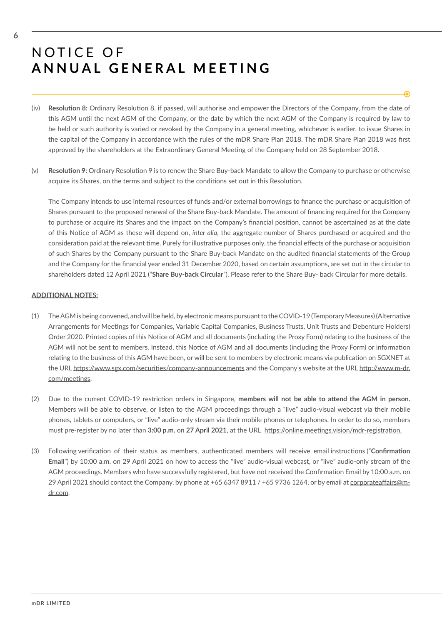- (iv) **Resoluton 8:** Ordinary Resoluton 8, if passed, will authorise and empower the Directors of the Company, from the date of this AGM until the next AGM of the Company, or the date by which the next AGM of the Company is required by law to be held or such authority is varied or revoked by the Company in a general meetng, whichever is earlier, to issue Shares in the capital of the Company in accordance with the rules of the mDR Share Plan 2018. The mDR Share Plan 2018 was frst approved by the shareholders at the Extraordinary General Meeting of the Company held on 28 September 2018.
- (v) **Resoluton 9:** Ordinary Resoluton 9 is to renew the Share Buy-back Mandate to allow the Company to purchase or otherwise acquire its Shares, on the terms and subject to the conditons set out in this Resoluton.

The Company intends to use internal resources of funds and/or external borrowings to fnance the purchase or acquisiton of Shares pursuant to the proposed renewal of the Share Buy-back Mandate. The amount of fnancing required for the Company to purchase or acquire its Shares and the impact on the Company's fnancial positon, cannot be ascertained as at the date of this Notice of AGM as these will depend on, *inter alia*, the aggregate number of Shares purchased or acquired and the consideration paid at the relevant time. Purely for illustrative purposes only, the financial effects of the purchase or acquisition of such Shares by the Company pursuant to the Share Buy-back Mandate on the audited fnancial statements of the Group and the Company for the fnancial year ended 31 December 2020, based on certain assumptons, are set out in the circular to shareholders dated 12 April 2021 ("**Share Buy-back Circular**"). Please refer to the Share Buy- back Circular for more details.

#### **ADDITIONAL NOTES:**

- (1) The AGM is being convened, and will be held, by electronic means pursuant to the COVID-19 (Temporary Measures) (Alternatve Arrangements for Meetngs for Companies, Variable Capital Companies, Business Trusts, Unit Trusts and Debenture Holders) Order 2020. Printed copies of this Notice of AGM and all documents (including the Proxy Form) relating to the business of the AGM will not be sent to members. Instead, this Notice of AGM and all documents (including the Proxy Form) or information relating to the business of this AGM have been, or will be sent to members by electronic means via publication on SGXNET at the URL https://www.sgx.com/securities/company-announcements and the Company's website at the URL http://www.m-dr. com/meetngs.
- (2) Due to the current COVID-19 restricton orders in Singapore, **members will not be able to atend the AGM in person.** Members will be able to observe, or listen to the AGM proceedings through a "live" audio-visual webcast via their mobile phones, tablets or computers, or "live" audio-only stream via their mobile phones or telephones. In order to do so, members must pre-register by no later than **3:00 p.m.** on **27 April 2021**, at the URL htps://online.meetngs.vision/mdr-registraton.
- (3) Following verifcaton of their status as members, authentcated members will receive email instructons ("**Confrmaton Email**") by 10:00 a.m. on 29 April 2021 on how to access the "live" audio-visual webcast, or "live" audio-only stream of the AGM proceedings. Members who have successfully registered, but have not received the Confirmation Email by 10:00 a.m. on 29 April 2021 should contact the Company, by phone at +65 6347 8911 / +65 9736 1264, or by email at corporateaffairs@mdr.com.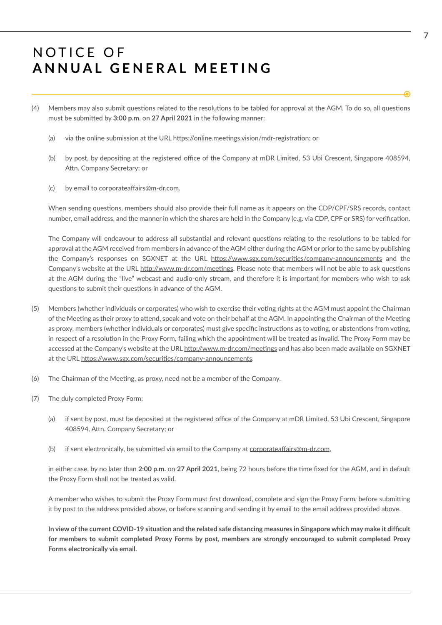- (4) Members may also submit questions related to the resolutions to be tabled for approval at the AGM. To do so, all questions must be submited by **3:00 p.m**. on **27 April 2021** in the following manner:
	- (a) via the online submission at the URL https://online.meetings.vision/mdr-registration; or
	- (b) by post, by depositing at the registered office of the Company at mDR Limited, 53 Ubi Crescent, Singapore 408594, Attn. Company Secretary; or
	- (c) by email to corporateaffairs@m-dr.com.

When sending questons, members should also provide their full name as it appears on the CDP/CPF/SRS records, contact number, email address, and the manner in which the shares are held in the Company (e.g. via CDP, CPF or SRS) for verifcaton.

The Company will endeavour to address all substantial and relevant questions relating to the resolutions to be tabled for approval at the AGM received from members in advance of the AGM either during the AGM or prior to the same by publishing the Company's responses on SGXNET at the URL https://www.sgx.com/securities/company-announcements and the Company's website at the URL http://www.m-dr.com/meetings. Please note that members will not be able to ask questions at the AGM during the "live" webcast and audio-only stream, and therefore it is important for members who wish to ask questions to submit their questions in advance of the AGM.

- (5) Members (whether individuals or corporates) who wish to exercise their votng rights at the AGM must appoint the Chairman of the Meeting as their proxy to attend, speak and vote on their behalf at the AGM. In appointing the Chairman of the Meeting as proxy, members (whether individuals or corporates) must give specific instructions as to voting, or abstentions from voting, in respect of a resolution in the Proxy Form, failing which the appointment will be treated as invalid. The Proxy Form may be accessed at the Company's website at the URL http://www.m-dr.com/meetings and has also been made available on SGXNET at the URL https://www.sgx.com/securities/company-announcements.
- (6) The Chairman of the Meetng, as proxy, need not be a member of the Company.
- (7) The duly completed Proxy Form:
	- (a) if sent by post, must be deposited at the registered office of the Company at mDR Limited, 53 Ubi Crescent, Singapore 408594, Attn. Company Secretary; or
	- (b) if sent electronically, be submitted via email to the Company at corporateaffairs@m-dr.com,

in either case, by no later than **2:00 p.m.** on **27 April 2021**, being 72 hours before the tme fxed for the AGM, and in default the Proxy Form shall not be treated as valid.

A member who wishes to submit the Proxy Form must first download, complete and sign the Proxy Form, before submitting it by post to the address provided above, or before scanning and sending it by email to the email address provided above.

In view of the current COVID-19 situation and the related safe distancing measures in Singapore which may make it difficult **for members to submit completed Proxy Forms by post, members are strongly encouraged to submit completed Proxy Forms electronically via email.**

**7**